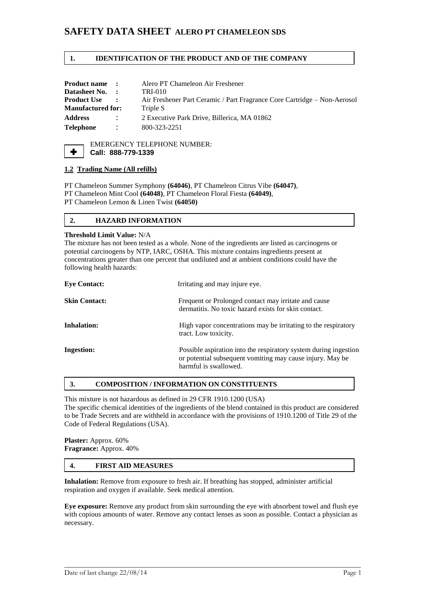# **SAFETY DATA SHEET ALERO PT CHAMELEON SDS**

#### **1. IDENTIFICATION OF THE PRODUCT AND OF THE COMPANY**

| <b>Product name:</b>     |                   | Alero PT Chameleon Air Freshener                                         |
|--------------------------|-------------------|--------------------------------------------------------------------------|
| Datasheet No. :          |                   | TRI-010                                                                  |
| <b>Product Use</b>       | $\sim$ 100 $\sim$ | Air Freshener Part Ceramic / Part Fragrance Core Cartridge – Non-Aerosol |
| <b>Manufactured for:</b> |                   | Triple S                                                                 |
| <b>Address</b>           |                   | 2 Executive Park Drive, Billerica, MA 01862                              |
| <b>Telephone</b>         |                   | 800-323-2251                                                             |



EMERGENCY TELEPHONE NUMBER: **Call: 888-779-1339**

#### **1.2 Trading Name (All refills)**

PT Chameleon Summer Symphony **(64046)**, PT Chameleon Citrus Vibe **(64047)**, PT Chameleon Mint Cool **(64048)**, PT Chameleon Floral Fiesta **(64049)**, PT Chameleon Lemon & Linen Twist **(64050)**

# **2. HAZARD INFORMATION**

#### **Threshold Limit Value:** N/A

The mixture has not been tested as a whole. None of the ingredients are listed as carcinogens or potential carcinogens by NTP, IARC, OSHA. This mixture contains ingredients present at concentrations greater than one percent that undiluted and at ambient conditions could have the following health hazards:

| <b>Eve Contact:</b>  | Irritating and may injure eye.                                                                                                                         |
|----------------------|--------------------------------------------------------------------------------------------------------------------------------------------------------|
| <b>Skin Contact:</b> | Frequent or Prolonged contact may irritate and cause<br>dermatitis. No toxic hazard exists for skin contact.                                           |
| Inhalation:          | High vapor concentrations may be irritating to the respiratory<br>tract. Low toxicity.                                                                 |
| <b>Ingestion:</b>    | Possible aspiration into the respiratory system during ingestion<br>or potential subsequent vomiting may cause injury. May be<br>harmful is swallowed. |

## **3. COMPOSITION / INFORMATION ON CONSTITUENTS**

This mixture is not hazardous as defined in 29 CFR 1910.1200 (USA)

The specific chemical identities of the ingredients of the blend contained in this product are considered to be Trade Secrets and are withheld in accordance with the provisions of 1910.1200 of Title 29 of the Code of Federal Regulations (USA).

**Plaster:** Approx. 60% **Fragrance:** Approx. 40%

# **4. FIRST AID MEASURES**

**Inhalation:** Remove from exposure to fresh air. If breathing has stopped, administer artificial respiration and oxygen if available. Seek medical attention.

**Eye exposure:** Remove any product from skin surrounding the eye with absorbent towel and flush eye with copious amounts of water. Remove any contact lenses as soon as possible. Contact a physician as necessary.

\_\_\_\_\_\_\_\_\_\_\_\_\_\_\_\_\_\_\_\_\_\_\_\_\_\_\_\_\_\_\_\_\_\_\_\_\_\_\_\_\_\_\_\_\_\_\_\_\_\_\_\_\_\_\_\_\_\_\_\_\_\_\_\_\_\_\_\_\_\_\_\_\_\_\_\_\_\_\_\_\_\_\_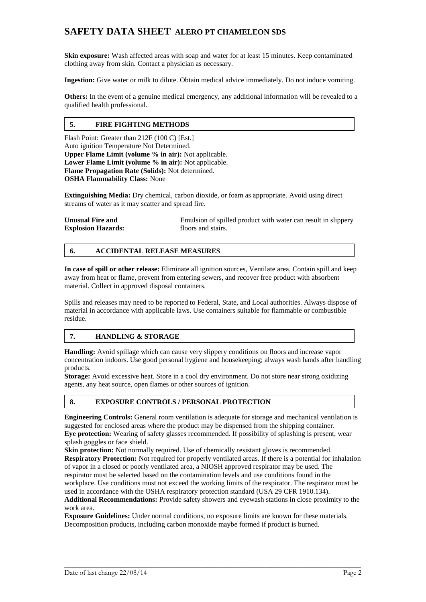# **SAFETY DATA SHEET ALERO PT CHAMELEON SDS**

**Skin exposure:** Wash affected areas with soap and water for at least 15 minutes. Keep contaminated clothing away from skin. Contact a physician as necessary.

**Ingestion:** Give water or milk to dilute. Obtain medical advice immediately. Do not induce vomiting.

**Others:** In the event of a genuine medical emergency, any additional information will be revealed to a qualified health professional.

# **5. FIRE FIGHTING METHODS**

Flash Point: Greater than 212F (100 C) [Est.] Auto ignition Temperature Not Determined. **Upper Flame Limit (volume % in air):** Not applicable. Lower Flame Limit (volume % in air): Not applicable. **Flame Propagation Rate (Solids):** Not determined. **OSHA Flammability Class:** None

**Extinguishing Media:** Dry chemical, carbon dioxide, or foam as appropriate. Avoid using direct streams of water as it may scatter and spread fire.

| <b>Unusual Fire and</b>   | Emulsion of spilled product with water can result in slippery |
|---------------------------|---------------------------------------------------------------|
| <b>Explosion Hazards:</b> | floors and stairs.                                            |

# **6. ACCIDENTAL RELEASE MEASURES**

**In case of spill or other release:** Eliminate all ignition sources, Ventilate area, Contain spill and keep away from heat or flame, prevent from entering sewers, and recover free product with absorbent material. Collect in approved disposal containers.

Spills and releases may need to be reported to Federal, State, and Local authorities. Always dispose of material in accordance with applicable laws. Use containers suitable for flammable or combustible residue.

# **7. HANDLING & STORAGE**

**Handling:** Avoid spillage which can cause very slippery conditions on floors and increase vapor concentration indoors. Use good personal hygiene and housekeeping; always wash hands after handling products.

**Storage:** Avoid excessive heat. Store in a cool dry environment. Do not store near strong oxidizing agents, any heat source, open flames or other sources of ignition.

# **8. EXPOSURE CONTROLS / PERSONAL PROTECTION**

**Engineering Controls:** General room ventilation is adequate for storage and mechanical ventilation is suggested for enclosed areas where the product may be dispensed from the shipping container. **Eye protection:** Wearing of safety glasses recommended. If possibility of splashing is present, wear splash goggles or face shield.

**Skin protection:** Not normally required. Use of chemically resistant gloves is recommended. **Respiratory Protection:** Not required for properly ventilated areas. If there is a potential for inhalation of vapor in a closed or poorly ventilated area, a NIOSH approved respirator may be used. The respirator must be selected based on the contamination levels and use conditions found in the workplace. Use conditions must not exceed the working limits of the respirator. The respirator must be used in accordance with the OSHA respiratory protection standard (USA 29 CFR 1910.134).

**Additional Recommendations:** Provide safety showers and eyewash stations in close proximity to the work area.

\_\_\_\_\_\_\_\_\_\_\_\_\_\_\_\_\_\_\_\_\_\_\_\_\_\_\_\_\_\_\_\_\_\_\_\_\_\_\_\_\_\_\_\_\_\_\_\_\_\_\_\_\_\_\_\_\_\_\_\_\_\_\_\_\_\_\_\_\_\_\_\_\_\_\_\_\_\_\_\_\_\_\_

**Exposure Guidelines:** Under normal conditions, no exposure limits are known for these materials. Decomposition products, including carbon monoxide maybe formed if product is burned.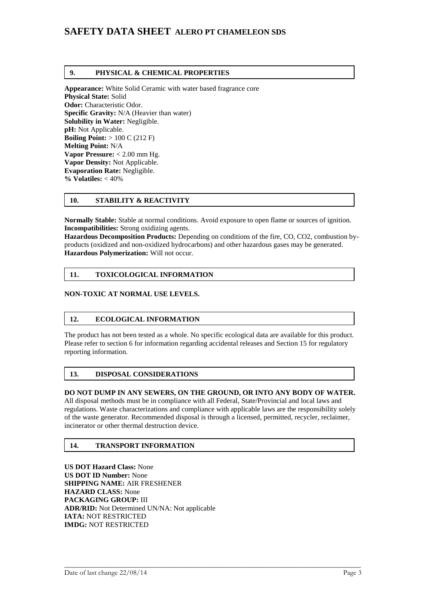# **SAFETY DATA SHEET ALERO PT CHAMELEON SDS**

#### **9. PHYSICAL & CHEMICAL PROPERTIES**

**Appearance:** White Solid Ceramic with water based fragrance core **Physical State:** Solid **Odor:** Characteristic Odor. **Specific Gravity:** N/A (Heavier than water) **Solubility in Water:** Negligible. **pH:** Not Applicable. **Boiling Point:** > 100 C (212 F) **Melting Point:** N/A **Vapor Pressure:** < 2.00 mm Hg. **Vapor Density:** Not Applicable. **Evaporation Rate:** Negligible. **% Volatiles:** < 40%

#### **10. STABILITY & REACTIVITY**

**Normally Stable:** Stable at normal conditions. Avoid exposure to open flame or sources of ignition. **Incompatibilities:** Strong oxidizing agents.

**Hazardous Decomposition Products:** Depending on conditions of the fire, CO, CO2, combustion byproducts (oxidized and non-oxidized hydrocarbons) and other hazardous gases may be generated. **Hazardous Polymerization:** Will not occur.

## **11. TOXICOLOGICAL INFORMATION**

## **NON-TOXIC AT NORMAL USE LEVELS.**

#### **12. ECOLOGICAL INFORMATION**

The product has not been tested as a whole. No specific ecological data are available for this product. Please refer to section 6 for information regarding accidental releases and Section 15 for regulatory reporting information.

#### **13. DISPOSAL CONSIDERATIONS**

#### **DO NOT DUMP IN ANY SEWERS, ON THE GROUND, OR INTO ANY BODY OF WATER.**

All disposal methods must be in compliance with all Federal, State/Provincial and local laws and regulations. Waste characterizations and compliance with applicable laws are the responsibility solely of the waste generator. Recommended disposal is through a licensed, permitted, recycler, reclaimer, incinerator or other thermal destruction device.

\_\_\_\_\_\_\_\_\_\_\_\_\_\_\_\_\_\_\_\_\_\_\_\_\_\_\_\_\_\_\_\_\_\_\_\_\_\_\_\_\_\_\_\_\_\_\_\_\_\_\_\_\_\_\_\_\_\_\_\_\_\_\_\_\_\_\_\_\_\_\_\_\_\_\_\_\_\_\_\_\_\_\_

#### **14. TRANSPORT INFORMATION**

**US DOT Hazard Class:** None **US DOT ID Number:** None **SHIPPING NAME:** AIR FRESHENER **HAZARD CLASS:** None **PACKAGING GROUP:** III **ADR/RID:** Not Determined UN/NA: Not applicable **IATA:** NOT RESTRICTED **IMDG:** NOT RESTRICTED